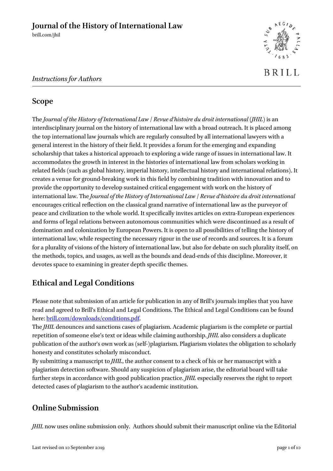

## *Instructions for Authors*

## **Scope**

The *Journal of the History of International Law* / *Revue d'histoire du droit international (JHIL)* is an interdisciplinary journal on the history of international law with a broad outreach. It is placed among the top international law journals which are regularly consulted by all international lawyers with a general interest in the history of their field. It provides a forum for the emerging and expanding scholarship that takes a historical approach to exploring a wide range of issues in international law. It accommodates the growth in interest in the histories of international law from scholars working in related fields (such as global history, imperial history, intellectual history and international relations). It creates a venue for ground-breaking work in this field by combining tradition with innovation and to provide the opportunity to develop sustained critical engagement with work on the history of international law. The *Journal of the History of International Law* / *Revue d'histoire du droit international* encourages critical reflection on the classical grand narrative of international law as the purveyor of peace and civilization to the whole world. It specifically invites articles on extra-European experiences and forms of legal relations between autonomous communities which were discontinued as a result of domination and colonization by European Powers. It is open to all possibilities of telling the history of international law, while respecting the necessary rigour in the use of records and sources. It is a forum for a plurality of visions of the history of international law, but also for debate on such plurality itself, on the methods, topics, and usages, as well as the bounds and dead-ends of this discipline. Moreover, it devotes space to examining in greater depth specific themes.

# **Ethical and Legal Conditions**

Please note that submission of an article for publication in any of Brill's journals implies that you have read and agreed to Brill's Ethical and Legal Conditions. The Ethical and Legal Conditions can be found here: [brill.com/downloads/conditions.pdf.](http://www.brill.com/downloads/conditions.pdf)

The *JHIL* denounces and sanctions cases of plagiarism. Academic plagiarism is the complete or partial repetition of someone else's text or ideas while claiming authorship. *JHIL* also considers a duplicate publication of the author's own work as (self-)plagiarism. Plagiarism violates the obligation to scholarly honesty and constitutes scholarly misconduct.

By submitting a manuscript to *JHIL*, the author consent to a check of his or her manuscript with a plagiarism detection software. Should any suspicion of plagiarism arise, the editorial board will take further steps in accordance with good publication practice. *JHIL* especially reserves the right to report detected cases of plagiarism to the author's academic institution.

## **Online Submission**

*JHIL* now uses online submission only. Authors should submit their manuscript online via the Editorial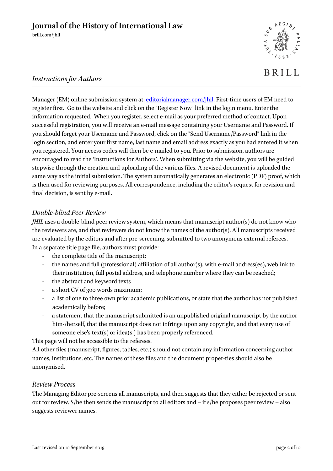

**BRILL** 

## *Instructions for Authors*

Manager (EM) online submission system at: [editorialmanager.com/jhil.](http://www.editorialmanager.com/jhil) First-time users of EM need to register first. Go to the website and click on the "Register Now" link in the login menu. Enter the information requested. When you register, select e-mail as your preferred method of contact. Upon successful registration, you will receive an e-mail message containing your Username and Password. If you should forget your Username and Password, click on the "Send Username/Password" link in the login section, and enter your first name, last name and email address exactly as you had entered it when you registered. Your access codes will then be e-mailed to you. Prior to submission, authors are encouraged to read the 'Instructions for Authors'. When submitting via the website, you will be guided stepwise through the creation and uploading of the various files. A revised document is uploaded the same way as the initial submission. The system automatically generates an electronic (PDF) proof, which is then used for reviewing purposes. All correspondence, including the editor's request for revision and final decision, is sent by e-mail.

#### *Double-blind Peer Review*

*JHIL* uses a double-blind peer review system, which means that manuscript author(s) do not know who the reviewers are, and that reviewers do not know the names of the author(s). All manuscripts received are evaluated by the editors and after pre-screening, submitted to two anonymous external referees. In a separate title page file, authors must provide:

- the complete title of the manuscript;
- the names and full (professional) affiliation of all author(s), with e-mail address(es), weblink to their institution, full postal address, and telephone number where they can be reached;
- the abstract and keyword texts
- a short CV of 300 words maximum;
- a list of one to three own prior academic publications, or state that the author has not published academically before;
- a statement that the manuscript submitted is an unpublished original manuscript by the author him-/herself, that the manuscript does not infringe upon any copyright, and that every use of someone else's text(s) or idea(s ) has been properly referenced.

This page will not be accessible to the referees.

All other files (manuscript, figures, tables, etc.) should not contain any information concerning author names, institutions, etc. The names of these files and the document proper-ties should also be anonymised.

#### *Review Process*

The Managing Editor pre-screens all manuscripts, and then suggests that they either be rejected or sent out for review. S/he then sends the manuscript to all editors and – if s/he proposes peer review – also suggests reviewer names.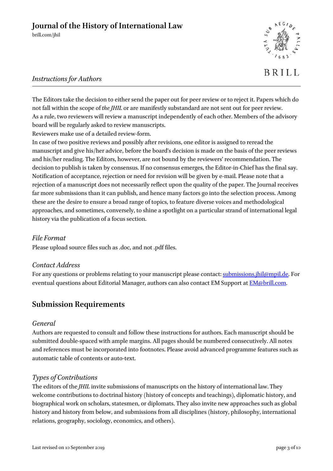

# **BRILL**

## *Instructions for Authors*

The Editors take the decision to either send the paper out for peer review or to reject it. Papers which do not fall within the scope of *the JHIL* or are manifestly substandard are not sent out for peer review. As a rule, two reviewers will review a manuscript independently of each other. Members of the advisory board will be regularly asked to review manuscripts.

Reviewers make use of a detailed review-form.

In case of two positive reviews and possibly after revisions, one editor is assigned to reread the manuscript and give his/her advice, before the board's decision is made on the basis of the peer reviews and his/her reading. The Editors, however, are not bound by the reviewers' recommendation. The decision to publish is taken by consensus. If no consensus emerges, the Editor-in-Chief has the final say. Notification of acceptance, rejection or need for revision will be given by e-mail. Please note that a rejection of a manuscript does not necessarily reflect upon the quality of the paper. The Journal receives far more submissions than it can publish, and hence many factors go into the selection process. Among these are the desire to ensure a broad range of topics, to feature diverse voices and methodological approaches, and sometimes, conversely, to shine a spotlight on a particular strand of international legal history via the publication of a focus section.

#### *File Format*

Please upload source files such as .doc, and not .pdf files.

#### *Contact Address*

For any questions or problems relating to your manuscript please contact[: submissions.jhil@mpil.de.](mailto:submissions.jhil@mpil.de) For eventual questions about Editorial Manager, authors can also contact EM Support at **EM**@brill.com.

## **Submission Requirements**

#### *General*

Authors are requested to consult and follow these instructions for authors. Each manuscript should be submitted double-spaced with ample margins. All pages should be numbered consecutively. All notes and references must be incorporated into footnotes. Please avoid advanced programme features such as automatic table of contents or auto-text.

## *Types of Contributions*

The editors of the *JHIL* invite submissions of manuscripts on the history of international law. They welcome contributions to doctrinal history (history of concepts and teachings), diplomatic history, and biographical work on scholars, statesmen, or diplomats. They also invite new approaches such as global history and history from below, and submissions from all disciplines (history, philosophy, international relations, geography, sociology, economics, and others).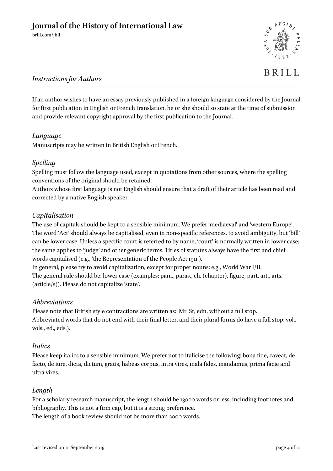

# **BRILL**

## *Instructions for Authors*

If an author wishes to have an essay previously published in a foreign language considered by the Journal for first publication in English or French translation, he or she should so state at the time of submission and provide relevant copyright approval by the first publication to the Journal.

## *Language*

Manuscripts may be written in British English or French.

#### *Spelling*

Spelling must follow the language used, except in quotations from other sources, where the spelling conventions of the original should be retained.

Authors whose first language is not English should ensure that a draft of their article has been read and corrected by a native English speaker.

#### *Capitalisation*

The use of capitals should be kept to a sensible minimum. We prefer 'mediaeval' and 'western Europe'. The word 'Act' should always be capitalised, even in non-specific references, to avoid ambiguity, but 'bill' can be lower case. Unless a specific court is referred to by name, 'court' is normally written in lower case; the same applies to 'judge' and other generic terms. Titles of statutes always have the first and chief words capitalised (e.g., 'the Representation of the People Act 1911').

In general, please try to avoid capitalization, except for proper nouns: e.g., World War I/II. The general rule should be: lower case (examples: para., paras., ch. (chapter), figure, part, art., arts. (article/s)). Please do not capitalize 'state'.

#### *Abbreviations*

Please note that British style contractions are written as: Mr, St, edn, without a full stop. Abbreviated words that do not end with their final letter, and their plural forms do have a full stop: vol., vols., ed., eds.).

#### *Italics*

Please keep italics to a sensible minimum. We prefer not to italicise the following: bona fide, caveat, de facto, de iure, dicta, dictum, gratis, habeas corpus, intra vires, mala fides, mandamus, prima facie and ultra vires.

#### *Length*

For a scholarly research manuscript, the length should be 13000 words or less, including footnotes and bibliography. This is not a firm cap, but it is a strong preference.

The length of a book review should not be more than 2000 words.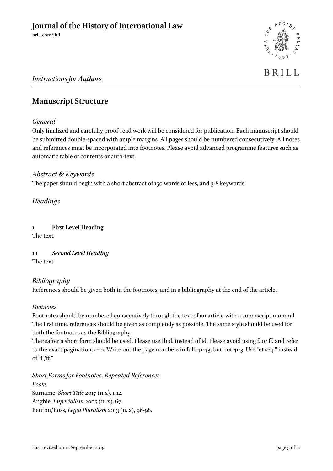

# BRILL

## *Instructions for Authors*

## **Manuscript Structure**

#### *General*

Only finalized and carefully proof-read work will be considered for publication. Each manuscript should be submitted double-spaced with ample margins. All pages should be numbered consecutively. All notes and references must be incorporated into footnotes. Please avoid advanced programme features such as automatic table of contents or auto-text.

#### *Abstract & Keywords*

The paper should begin with a short abstract of 150 words or less, and 3-8 keywords.

*Headings*

**1 First Level Heading** The text*.*

**1.1** *Second Level Heading* The text.

## *Bibliography*

References should be given both in the footnotes, and in a bibliography at the end of the article.

#### *Footnotes*

Footnotes should be numbered consecutively through the text of an article with a superscript numeral. The first time, references should be given as completely as possible. The same style should be used for both the footnotes as the Bibliography.

Thereafter a short form should be used. Please use Ibid. instead of id. Please avoid using f. or ff. and refer to the exact pagination, 4-12. Write out the page numbers in full: 41-43, but not 41-3. Use "et seq." instead of "f./ff."

*Short Forms for Footnotes, Repeated References Books* Surname, *Short Title* 2017 (n x), 1-12. Anghie, *Imperialism* 2005 (n. x), 67. Benton/Ross, *Legal Pluralism* 2013 (n. x), 96-98.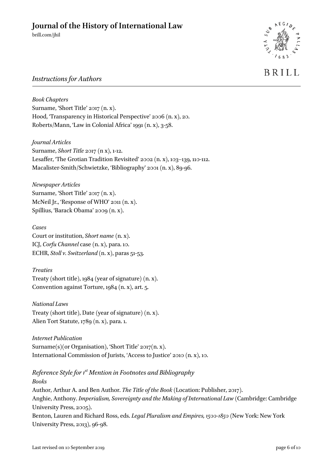

# **BRILL**

## *Instructions for Authors*

*Book Chapters* Surname, 'Short Title' 2017 (n. x). Hood, 'Transparency in Historical Perspective' 2006 (n. x), 20. Roberts/Mann, 'Law in Colonial Africa' 1991 (n. x), 3-58.

*Journal Articles* Surname, *Short Title* 2017 (n x), 1-12. Lesaffer, 'The Grotian Tradition Revisited' 2002 (n. x), 103–139, 110-112. Macalister-Smith/Schwietzke, 'Bibliography' 2001 (n. x), 89-96.

*Newspaper Articles* Surname, 'Short Title' 2017 (n. x). McNeil Jr., 'Response of WHO' 2011 (n. x). Spillius, 'Barack Obama' 2009 (n. x).

*Cases* Court or institution, *Short name* (n. x). ICJ, *Corfu Channel* case (n. x), para. 10. ECHR, *Stoll v. Switzerland* (n. x), paras 51-53.

*Treaties* Treaty (short title), 1984 (year of signature) (n. x). Convention against Torture, 1984 (n. x), art. 5.

*National Laws* Treaty (short title), Date (year of signature) (n. x). Alien Tort Statute, 1789 (n. x), para. 1.

*Internet Publication* Surname(s)(or Organisation), 'Short Title' 2017(n. x). International Commission of Jurists, 'Access to Justice' 2010 (n. x), 10.

*Reference Style for 1st Mention in Footnotes and Bibliography*

*Books* Author, Arthur A. and Ben Author. *The Title of the Book* (Location: Publisher, 2017). Anghie, Anthony. *Imperialism, Sovereignty and the Making of International Law* (Cambridge: Cambridge University Press, 2005). Benton, Lauren and Richard Ross, eds. *Legal Pluralism and Empires, 1500-1850* (New York: New York University Press, 2013), 96-98.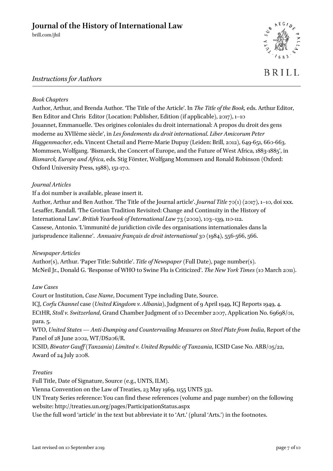

# **BRILL**

## *Instructions for Authors*

#### *Book Chapters*

Author, Arthur, and Brenda Author. 'The Title of the Article'. In *The Title of the Book,* eds. Arthur Editor, Ben Editor and Chris Editor (Location: Publisher, Edition (if applicable), 2017), 1–10 Jouannet, Emmanuelle. 'Des origines coloniales du droit international: A propos du droit des gens moderne au XVIIème siècle', in *Les fondements du droit international*. *Liber Amicorum Peter Haggenmacher*, eds. Vincent Chetail and Pierre-Marie Dupuy (Leiden: Brill, 2012), 649-651, 660-663. Mommsen, Wolfgang. 'Bismarck, the Concert of Europe, and the Future of West Africa, 1883-1885', in *Bismarck, Europe and Africa*, eds. Stig Förster, Wolfgang Mommsen and Ronald Robinson (Oxford: Oxford University Press, 1988), 151-170.

#### *Journal Articles*

If a doi number is available, please insert it.

Author, Arthur and Ben Author. 'The Title of the Journal article'. *Journal Title* 70(1) (2017), 1–10, doi xxx. Lesaffer, Randall. 'The Grotian Tradition Revisited: Change and Continuity in the History of International Law'. *British Yearbook of International Law* 73 (2002), 103–139, 110-112. Cassese, Antonio. 'L'immunité de juridiction civile des organisations internationales dans la jurisprudence italienne'. *Annuaire français de droit international* 30 (1984), 556-566, 566.

#### *Newspaper Articles*

Author(s), Arthur. 'Paper Title: Subtitle'. *Title of Newspaper* (Full Date), page number(s). McNeil Jr., Donald G. 'Response of WHO to Swine Flu is Criticized'. *The New York Times* (10 March 2011).

#### *Law Cases*

Court or Institution, *Case Name*, Document Type including Date, Source. ICJ, *Corfu Channel* case *(United Kingdom v. Albania)*, Judgment of 9 April 1949, ICJ Reports 1949, 4. ECtHR, *Stoll v. Switzerland*, Grand Chamber Judgment of 10 December 2007, Application No. 69698/01, para. 5. WTO, *United States — Anti-Dumping and Countervailing Measures on Steel Plate from India*, Report of the Panel of 28 June 2002, WT/DS206/R.

ICSID, *Biwater Gauff (Tanzania) Limited v. United Republic of Tanzania*, ICSID Case No. ARB/05/22, Award of 24 July 2008.

#### *Treaties*

Full Title, Date of Signature, Source (e.g., UNTS, ILM).

Vienna Convention on the Law of Treaties, 23 May 1969, 1155 UNTS 331.

UN Treaty Series reference: You can find these references (volume and page number) on the following website: http://treaties.un.org/pages/ParticipationStatus.aspx

Use the full word 'article' in the text but abbreviate it to 'Art.' (plural 'Arts.') in the footnotes.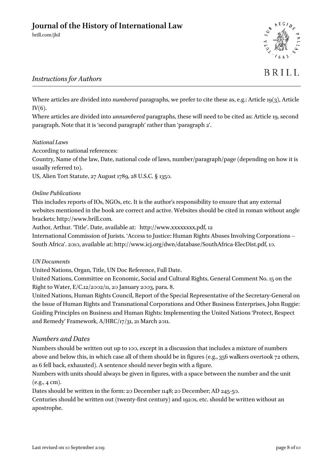

# **BRILL**

## *Instructions for Authors*

Where articles are divided into *numbered* paragraphs, we prefer to cite these as, e.g.: Article 19(3), Article  $IV(6)$ .

Where articles are divided into *unnumbered* paragraphs, these will need to be cited as: Article 19, second paragraph. Note that it is 'second paragraph' rather than 'paragraph 2'.

#### *National Laws*

According to national references:

Country, Name of the law, Date, national code of laws, number/paragraph/page (depending on how it is usually referred to).

US, Alien Tort Statute, 27 August 1789, 28 U.S.C. § 1350.

#### *Online Publications*

This includes reports of IOs, NGOs, etc. It is the author's responsibility to ensure that any external websites mentioned in the book are correct and active. Websites should be cited in roman without angle brackets: http://www.brill.com.

Author, Arthur. 'Title'. Date, available at: http://www.xxxxxxxx.pdf, 12

International Commission of Jurists. 'Access to Justice: Human Rights Abuses Involving Corporations – South Africa'. 2010, available at: http://www.icj.org/dwn/database/SouthAfrica-ElecDist.pdf, 10.

#### *UN Documents*

United Nations, Organ, Title, UN Doc Reference, Full Date.

United Nations, Committee on Economic, Social and Cultural Rights, General Comment No. 15 on the Right to Water, E/C.12/2002/11, 20 January 2003, para. 8.

United Nations, Human Rights Council, Report of the Special Representative of the Secretary-General on the Issue of Human Rights and Transnational Corporations and Other Business Enterprises, John Ruggie: Guiding Principles on Business and Human Rights: Implementing the United Nations 'Protect, Respect and Remedy' Framework, A/HRC/17/31, 21 March 2011.

#### *Numbers and Dates*

Numbers should be written out up to 100, except in a discussion that includes a mixture of numbers above and below this, in which case all of them should be in figures (e.g., 356 walkers overtook 72 others, as 6 fell back, exhausted). A sentence should never begin with a figure.

Numbers with units should always be given in figures, with a space between the number and the unit  $(e.g., 4 cm).$ 

Dates should be written in the form: 20 December 1148; 20 December; AD 245-50.

Centuries should be written out (twenty-first century) and 1920s, etc. should be written without an apostrophe.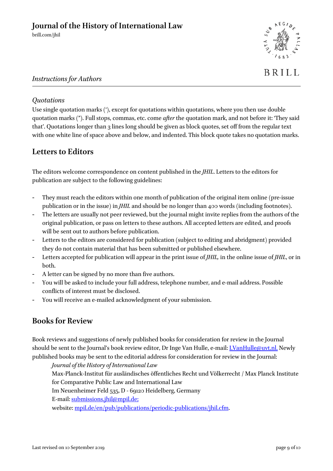

## *Instructions for Authors*

## *Quotations*

Use single quotation marks ('), except for quotations within quotations, where you then use double quotation marks ("). Full stops, commas, etc. come *after* the quotation mark, and not before it: 'They said that'. Quotations longer than 3 lines long should be given as block quotes, set off from the regular text with one white line of space above and below, and indented. This block quote takes no quotation marks.

## **Letters to Editors**

The editors welcome correspondence on content published in the *JHIL*. Letters to the editors for publication are subject to the following guidelines:

- They must reach the editors within one month of publication of the original item online (pre-issue publication or in the issue) in *JHIL* and should be no longer than 400 words (including footnotes).
- The letters are usually not peer reviewed, but the journal might invite replies from the authors of the original publication, or pass on letters to these authors. All accepted letters are edited, and proofs will be sent out to authors before publication.
- Letters to the editors are considered for publication (subject to editing and abridgment) provided they do not contain material that has been submitted or published elsewhere.
- Letters accepted for publication will appear in the print issue of *JHIL,* in the online issue of *JHIL*, or in both.
- A letter can be signed by no more than five authors.
- You will be asked to include your full address, telephone number, and e-mail address. Possible conflicts of interest must be disclosed.
- You will receive an e-mailed acknowledgment of your submission.

## **Books for Review**

Book reviews and suggestions of newly published books for consideration for review in the Journal should be sent to the Journal's book review editor, Dr Inge Van Hulle, e-mail: [I.VanHulle@uvt.nl.](mailto:I.VanHulle@uvt.nl) Newly published books may be sent to the editorial address for consideration for review in the Journal:

*Journal of the History of International Law* Max-Planck-Institut für ausländisches öffentliches Recht und Völkerrecht / Max Planck Institute for Comparative Public Law and International Law

Im Neuenheimer Feld 535, D - 69120 Heidelberg, Germany

E-mail: [submissions.jhil@mpil.de;](mailto:submissions.jhil@mpil.de)

website: [mpil.de/en/pub/publications/periodic-publications/jhil.cfm.](http://www.mpil.de/en/pub/publications/periodic-publications/jhil.cfm)